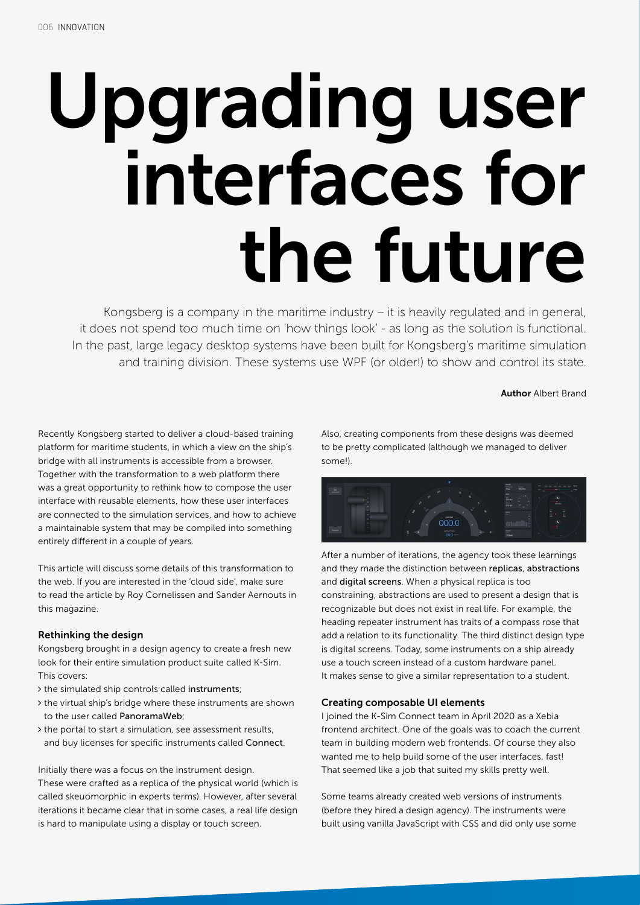# Upgrading user interfaces for the future

Kongsberg is a company in the maritime industry – it is heavily regulated and in general, it does not spend too much time on 'how things look' - as long as the solution is functional. In the past, large legacy desktop systems have been built for Kongsberg's maritime simulation and training division. These systems use WPF (or older!) to show and control its state.

# Author Albert Brand

Recently Kongsberg started to deliver a cloud-based training platform for maritime students, in which a view on the ship's bridge with all instruments is accessible from a browser. Together with the transformation to a web platform there was a great opportunity to rethink how to compose the user interface with reusable elements, how these user interfaces are connected to the simulation services, and how to achieve a maintainable system that may be compiled into something entirely different in a couple of years.

This article will discuss some details of this transformation to the web. If you are interested in the 'cloud side', make sure to read the article by Roy Cornelissen and Sander Aernouts in this magazine.

# Rethinking the design

Kongsberg brought in a design agency to create a fresh new look for their entire simulation product suite called K-Sim. This covers:

- the simulated ship controls called instruments;
- the virtual ship's bridge where these instruments are shown to the user called PanoramaWeb;
- the portal to start a simulation, see assessment results, and buy licenses for specific instruments called Connect.

Initially there was a focus on the instrument design.

These were crafted as a replica of the physical world (which is called skeuomorphic in experts terms). However, after several iterations it became clear that in some cases, a real life design is hard to manipulate using a display or touch screen.

Also, creating components from these designs was deemed to be pretty complicated (although we managed to deliver some!).

| $\sim$<br>$\frac{1}{2}$ | ٠<br>in.                                                                               | $=$<br>and you was you will you will be the<br><b>State</b><br>those<br>Auto<br>- 10<br>com-<br>٠<br>$\sim$ |
|-------------------------|----------------------------------------------------------------------------------------|-------------------------------------------------------------------------------------------------------------|
|                         | $\alpha$<br>÷<br>۰<br>œ.<br>è<br>٠                                                     | $\Xi_{\rm s}$<br>- 1<br>$\frac{1}{2}$<br>$\overline{374}$<br>×                                              |
|                         | $\mathcal{S}$<br>w<br>recent                                                           | $\sim$<br>E<br>ii i<br>÷<br>÷                                                                               |
| <b>SERVICE</b>          | 000.0<br>R<br>H.<br><b>COL</b><br>۰<br><b>MTOTUM</b><br>g<br>ż<br><b>W</b><br>$00.0 -$ | Ă<br>$\sim$<br>ililiri<br>÷<br>u<br>$\overline{m}$                                                          |

After a number of iterations, the agency took these learnings and they made the distinction between replicas, abstractions and digital screens. When a physical replica is too constraining, abstractions are used to present a design that is recognizable but does not exist in real life. For example, the heading repeater instrument has traits of a compass rose that add a relation to its functionality. The third distinct design type is digital screens. Today, some instruments on a ship already use a touch screen instead of a custom hardware panel. It makes sense to give a similar representation to a student.

# Creating composable UI elements

I joined the K-Sim Connect team in April 2020 as a Xebia frontend architect. One of the goals was to coach the current team in building modern web frontends. Of course they also wanted me to help build some of the user interfaces, fast! That seemed like a job that suited my skills pretty well.

Some teams already created web versions of instruments (before they hired a design agency). The instruments were built using vanilla JavaScript with CSS and did only use some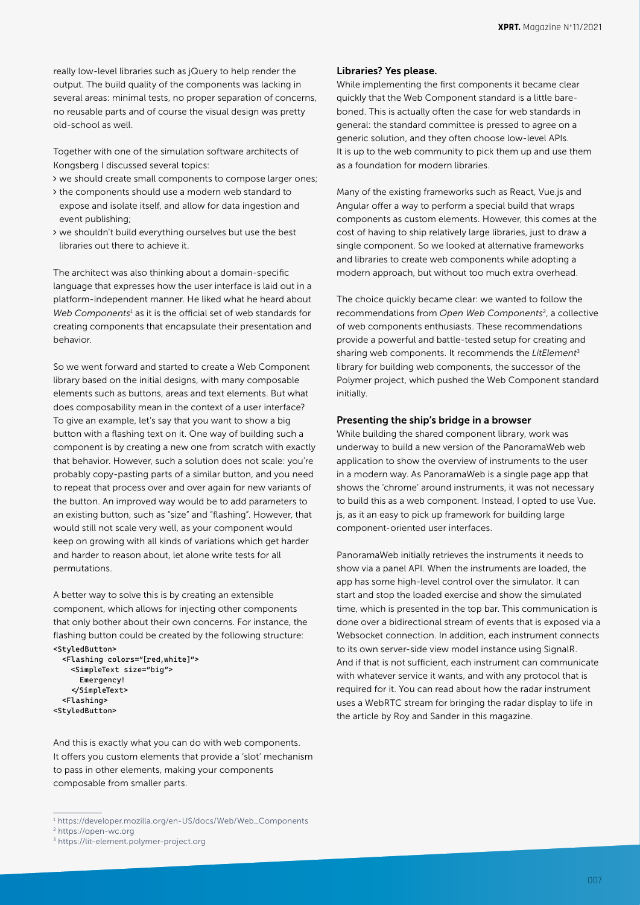really low-level libraries such as jQuery to help render the output. The build quality of the components was lacking in several areas: minimal tests, no proper separation of concerns, no reusable parts and of course the visual design was pretty old-school as well.

Together with one of the simulation software architects of Kongsberg I discussed several topics:

- we should create small components to compose larger ones;
- $\rightarrow$  the components should use a modern web standard to expose and isolate itself, and allow for data ingestion and event publishing;
- we shouldn't build everything ourselves but use the best libraries out there to achieve it.

The architect was also thinking about a domain-specific language that expresses how the user interface is laid out in a platform-independent manner. He liked what he heard about Web Components<sup>1</sup> as it is the official set of web standards for creating components that encapsulate their presentation and behavior.

So we went forward and started to create a Web Component library based on the initial designs, with many composable elements such as buttons, areas and text elements. But what does composability mean in the context of a user interface? To give an example, let's say that you want to show a big button with a flashing text on it. One way of building such a component is by creating a new one from scratch with exactly that behavior. However, such a solution does not scale: you're probably copy-pasting parts of a similar button, and you need to repeat that process over and over again for new variants of the button. An improved way would be to add parameters to an existing button, such as "size" and "flashing". However, that would still not scale very well, as your component would keep on growing with all kinds of variations which get harder and harder to reason about, let alone write tests for all permutations.

A better way to solve this is by creating an extensible component, which allows for injecting other components that only bother about their own concerns. For instance, the flashing button could be created by the following structure: <StyledButton>

```
 <Flashing colors="[red,white]">
     <SimpleText size="big">
       Emergency!
     </SimpleText>
  <Flashing>
<StyledButton>
```
And this is exactly what you can do with web components. It offers you custom elements that provide a 'slot' mechanism to pass in other elements, making your components composable from smaller parts.

## Libraries? Yes please.

While implementing the first components it became clear quickly that the Web Component standard is a little bareboned. This is actually often the case for web standards in general: the standard committee is pressed to agree on a generic solution, and they often choose low-level APIs. It is up to the web community to pick them up and use them as a foundation for modern libraries.

Many of the existing frameworks such as React, Vue.js and Angular offer a way to perform a special build that wraps components as custom elements. However, this comes at the cost of having to ship relatively large libraries, just to draw a single component. So we looked at alternative frameworks and libraries to create web components while adopting a modern approach, but without too much extra overhead.

The choice quickly became clear: we wanted to follow the recommendations from *Open Web Components*2, a collective of web components enthusiasts. These recommendations provide a powerful and battle-tested setup for creating and sharing web components. It recommends the *LitElement*<sup>3</sup> library for building web components, the successor of the Polymer project, which pushed the Web Component standard initially.

# Presenting the ship's bridge in a browser

While building the shared component library, work was underway to build a new version of the PanoramaWeb web application to show the overview of instruments to the user in a modern way. As PanoramaWeb is a single page app that shows the 'chrome' around instruments, it was not necessary to build this as a web component. Instead, I opted to use Vue. js, as it an easy to pick up framework for building large component-oriented user interfaces.

PanoramaWeb initially retrieves the instruments it needs to show via a panel API. When the instruments are loaded, the app has some high-level control over the simulator. It can start and stop the loaded exercise and show the simulated time, which is presented in the top bar. This communication is done over a bidirectional stream of events that is exposed via a Websocket connection. In addition, each instrument connects to its own server-side view model instance using SignalR. And if that is not sufficient, each instrument can communicate with whatever service it wants, and with any protocol that is required for it. You can read about how the radar instrument uses a WebRTC stream for bringing the radar display to life in the article by Roy and Sander in this magazine.

<sup>1</sup> [https://developer.mozilla.org/en-US/docs/Web/Web\\_Components](https://developer.mozilla.org/en-US/docs/Web/Web_Components)

<sup>2</sup> <https://open-wc.org>

<sup>3</sup> <https://lit-element.polymer-project.org>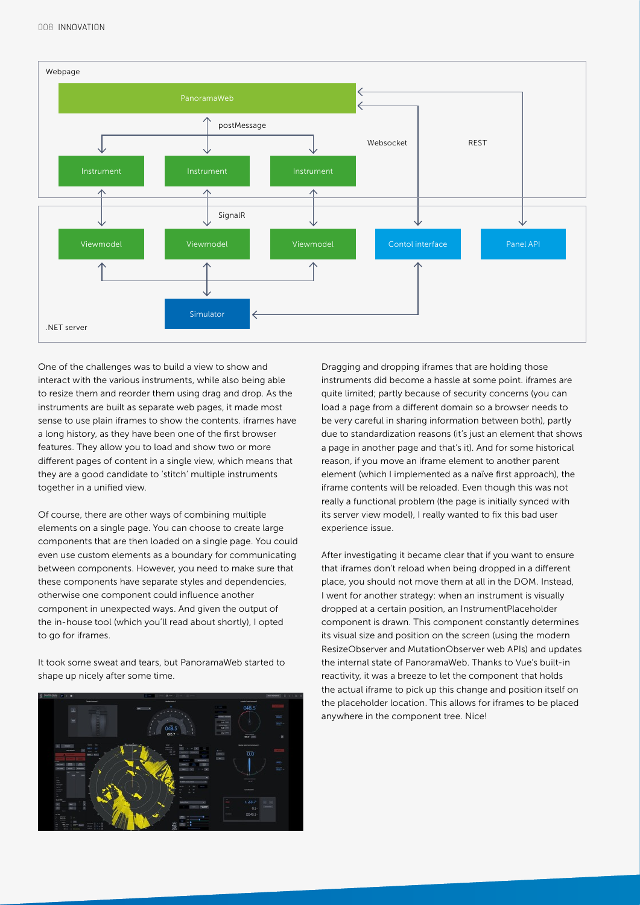

One of the challenges was to build a view to show and interact with the various instruments, while also being able to resize them and reorder them using drag and drop. As the instruments are built as separate web pages, it made most sense to use plain iframes to show the contents. iframes have a long history, as they have been one of the first browser features. They allow you to load and show two or more different pages of content in a single view, which means that they are a good candidate to 'stitch' multiple instruments together in a unified view.

Of course, there are other ways of combining multiple elements on a single page. You can choose to create large components that are then loaded on a single page. You could even use custom elements as a boundary for communicating between components. However, you need to make sure that these components have separate styles and dependencies, otherwise one component could influence another component in unexpected ways. And given the output of the in-house tool (which you'll read about shortly), I opted to go for iframes.

It took some sweat and tears, but PanoramaWeb started to shape up nicely after some time.



Dragging and dropping iframes that are holding those instruments did become a hassle at some point. iframes are quite limited; partly because of security concerns (you can load a page from a different domain so a browser needs to be very careful in sharing information between both), partly due to standardization reasons (it's just an element that shows a page in another page and that's it). And for some historical reason, if you move an iframe element to another parent element (which I implemented as a naïve first approach), the iframe contents will be reloaded. Even though this was not really a functional problem (the page is initially synced with its server view model), I really wanted to fix this bad user experience issue.

After investigating it became clear that if you want to ensure that iframes don't reload when being dropped in a different place, you should not move them at all in the DOM. Instead, I went for another strategy: when an instrument is visually dropped at a certain position, an InstrumentPlaceholder component is drawn. This component constantly determines its visual size and position on the screen (using the modern ResizeObserver and MutationObserver web APIs) and updates the internal state of PanoramaWeb. Thanks to Vue's built-in reactivity, it was a breeze to let the component that holds the actual iframe to pick up this change and position itself on the placeholder location. This allows for iframes to be placed anywhere in the component tree. Nice!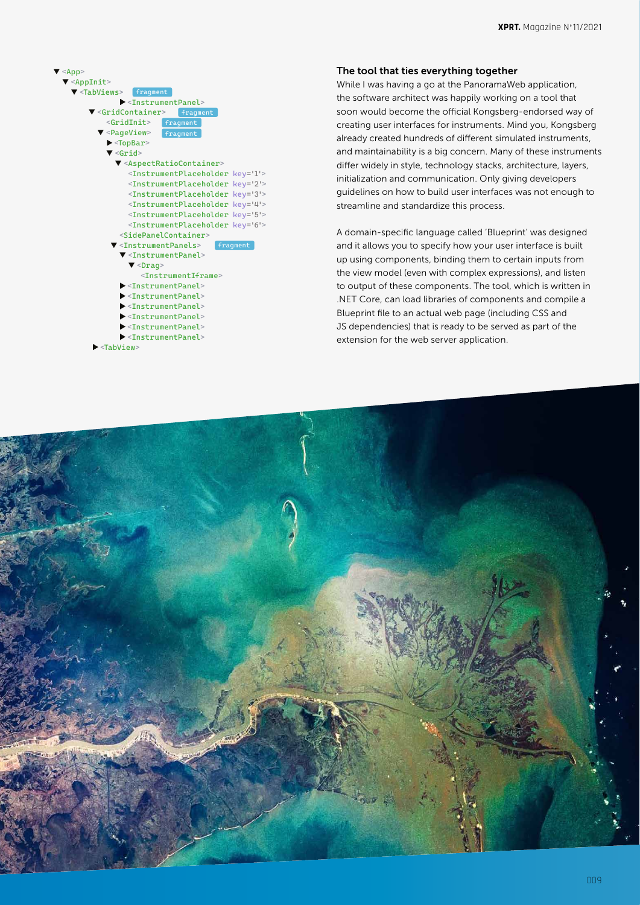

### <TabView>

# The tool that ties everything together

While I was having a go at the PanoramaWeb application, the software architect was happily working on a tool that soon would become the official Kongsberg-endorsed way of creating user interfaces for instruments. Mind you, Kongsberg already created hundreds of different simulated instruments, and maintainability is a big concern. Many of these instruments differ widely in style, technology stacks, architecture, layers, initialization and communication. Only giving developers guidelines on how to build user interfaces was not enough to streamline and standardize this process.

A domain-specific language called 'Blueprint' was designed and it allows you to specify how your user interface is built up using components, binding them to certain inputs from the view model (even with complex expressions), and listen to output of these components. The tool, which is written in .NET Core, can load libraries of components and compile a Blueprint file to an actual web page (including CSS and JS dependencies) that is ready to be served as part of the extension for the web server application.